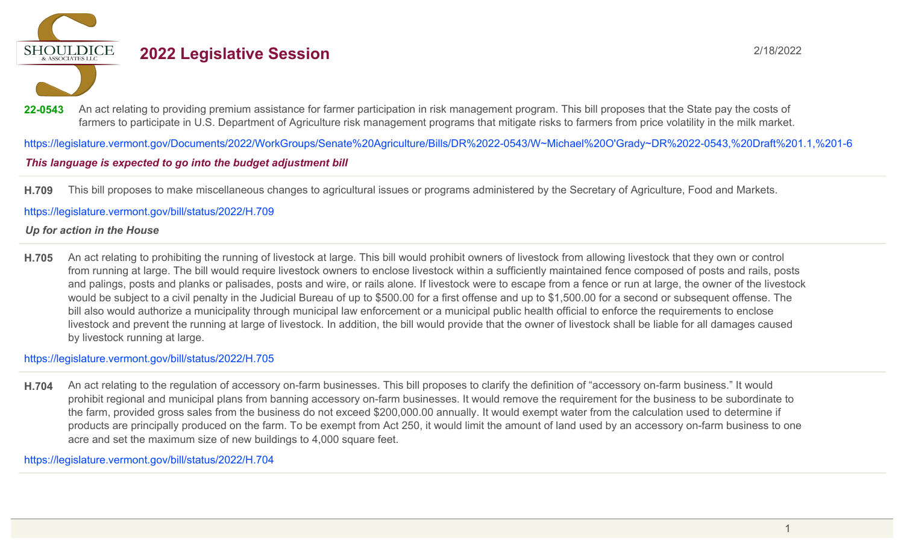**SHOULDICE** 

# **2022 Legislative Session** 2/18/2022

22-0543 An act relating to providing premium assistance for farmer participation in risk management program. This bill proposes that the State pay the costs of farmers to participate in U.S. Department of Agriculture risk management programs that mitigate risks to farmers from price volatility in the milk market.

https://legislature.vermont.gov/Documents/2022/WorkGroups/Senate%20Agriculture/Bills/DR%2022-0543/W~Michael%20O'Grady~DR%2022-0543,%20Draft%201.1,%201-6

### This language is expected to go into the budget adjustment bill

**H.709** This bill proposes to make miscellaneous changes to agricultural issues or programs administered by the Secretary of Agriculture, Food and Markets.

https://legislature.vermont.gov/bill/status/2022/H.709

#### *Up for action in the House*

**H.705** An act relating to prohibiting the running of livestock at large. This bill would prohibit owners of livestock from allowing livestock that they own or control from running at large. The bill would require livestock owners to enclose livestock within a sufficiently maintained fence composed of posts and rails, posts and palings, posts and planks or palisades, posts and wire, or rails alone. If livestock were to escape from a fence or run at large, the owner of the livestock would be subject to a civil penalty in the Judicial Bureau of up to \$500.00 for a first offense and up to \$1,500.00 for a second or subsequent offense. The bill also would authorize a municipality through municipal law enforcement or a municipal public health official to enforce the requirements to enclose livestock and prevent the running at large of livestock. In addition, the bill would provide that the owner of livestock shall be liable for all damages caused by livestock running at large.

https://legislature.vermont.gov/bill/status/2022/H.705

**H.704** An act relating to the regulation of accessory on-farm businesses. This bill proposes to clarify the definition of "accessory on-farm business." It would prohibit regional and municipal plans from banning accessory on-farm businesses. It would remove the requirement for the business to be subordinate to the farm, provided gross sales from the business do not exceed \$200,000.00 annually. It would exempt water from the calculation used to determine if products are principally produced on the farm. To be exempt from Act 250, it would limit the amount of land used by an accessory on-farm business to one acre and set the maximum size of new buildings to 4,000 square feet.

https://legislature.vermont.gov/bill/status/2022/H.704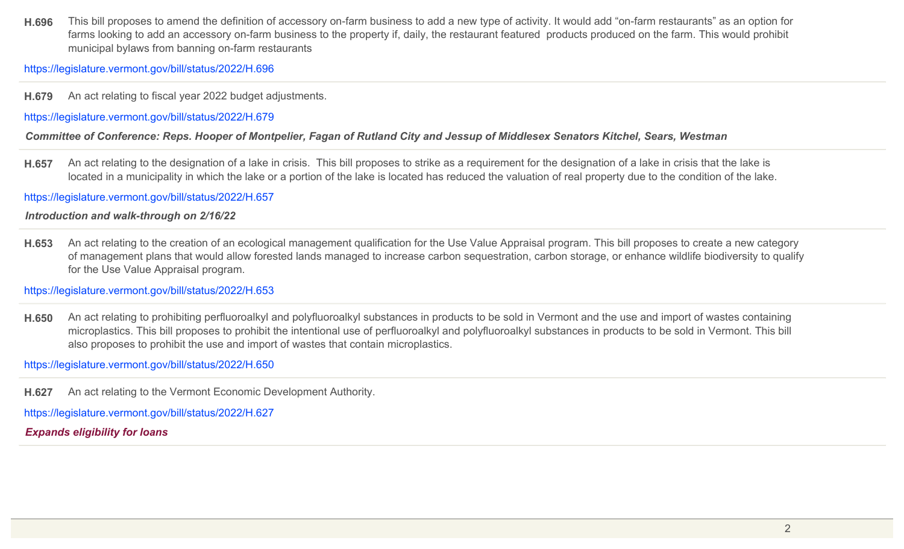**H.696** This bill proposes to amend the definition of accessory on-farm business to add a new type of activity. It would add "on-farm restaurants" as an option for farms looking to add an accessory on-farm business to the property if, daily, the restaurant featured products produced on the farm. This would prohibit municipal bylaws from banning on-farm restaurants

https://legislature.vermont.gov/bill/status/2022/H.696

**H.679** An act relating to fiscal year 2022 budget adjustments.

https://legislature.vermont.gov/bill/status/2022/H.679

*Committee of Conference: Reps. Hooper of Montpelier, Fagan of Rutland City and Jessup of Middlesex Senators Kitchel, Sears, Westman*

**H.657** An act relating to the designation of a lake in crisis. This bill proposes to strike as a requirement for the designation of a lake in crisis that the lake is located in a municipality in which the lake or a portion of the lake is located has reduced the valuation of real property due to the condition of the lake.

https://legislature.vermont.gov/bill/status/2022/H.657

*Introduction and walk-through on 2/16/22*

**H.653** An act relating to the creation of an ecological management qualification for the Use Value Appraisal program. This bill proposes to create a new category of management plans that would allow forested lands managed to increase carbon sequestration, carbon storage, or enhance wildlife biodiversity to qualify for the Use Value Appraisal program.

https://legislature.vermont.gov/bill/status/2022/H.653

**H.650** An act relating to prohibiting perfluoroalkyl and polyfluoroalkyl substances in products to be sold in Vermont and the use and import of wastes containing microplastics. This bill proposes to prohibit the intentional use of perfluoroalkyl and polyfluoroalkyl substances in products to be sold in Vermont. This bill also proposes to prohibit the use and import of wastes that contain microplastics.

https://legislature.vermont.gov/bill/status/2022/H.650

**H.627** An act relating to the Vermont Economic Development Authority.

https://legislature.vermont.gov/bill/status/2022/H.627

*Expands eligibility for loans*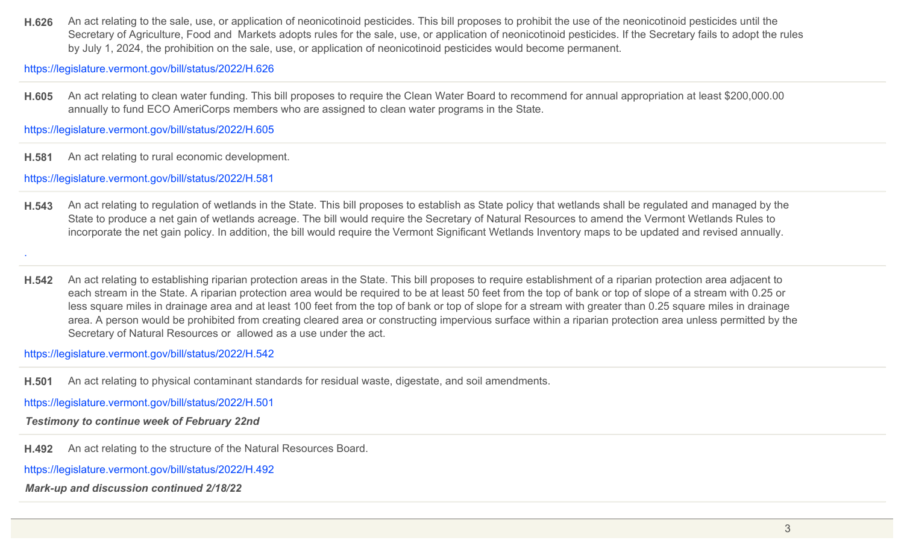**H.626** An act relating to the sale, use, or application of neonicotinoid pesticides. This bill proposes to prohibit the use of the neonicotinoid pesticides until the Secretary of Agriculture, Food and Markets adopts rules for the sale, use, or application of neonicotinoid pesticides. If the Secretary fails to adopt the rules by July 1, 2024, the prohibition on the sale, use, or application of neonicotinoid pesticides would become permanent.

https://legislature.vermont.gov/bill/status/2022/H.626

**H.605** An act relating to clean water funding. This bill proposes to require the Clean Water Board to recommend for annual appropriation at least \$200,000.00 annually to fund ECO AmeriCorps members who are assigned to clean water programs in the State.

https://legislature.vermont.gov/bill/status/2022/H.605

**H.581** An act relating to rural economic development.

https://legislature.vermont.gov/bill/status/2022/H.581

.

- **H.543** An act relating to regulation of wetlands in the State. This bill proposes to establish as State policy that wetlands shall be regulated and managed by the State to produce a net gain of wetlands acreage. The bill would require the Secretary of Natural Resources to amend the Vermont Wetlands Rules to incorporate the net gain policy. In addition, the bill would require the Vermont Significant Wetlands Inventory maps to be updated and revised annually.
- **H.542** An act relating to establishing riparian protection areas in the State. This bill proposes to require establishment of a riparian protection area adjacent to each stream in the State. A riparian protection area would be required to be at least 50 feet from the top of bank or top of slope of a stream with 0.25 or less square miles in drainage area and at least 100 feet from the top of bank or top of slope for a stream with greater than 0.25 square miles in drainage area. A person would be prohibited from creating cleared area or constructing impervious surface within a riparian protection area unless permitted by the Secretary of Natural Resources or allowed as a use under the act.

https://legislature.vermont.gov/bill/status/2022/H.542

**H.501** An act relating to physical contaminant standards for residual waste, digestate, and soil amendments.

https://legislature.vermont.gov/bill/status/2022/H.501

*Testimony to continue week of February 22nd*

**H.492** An act relating to the structure of the Natural Resources Board.

https://legislature.vermont.gov/bill/status/2022/H.492

*Mark-up and discussion continued 2/18/22*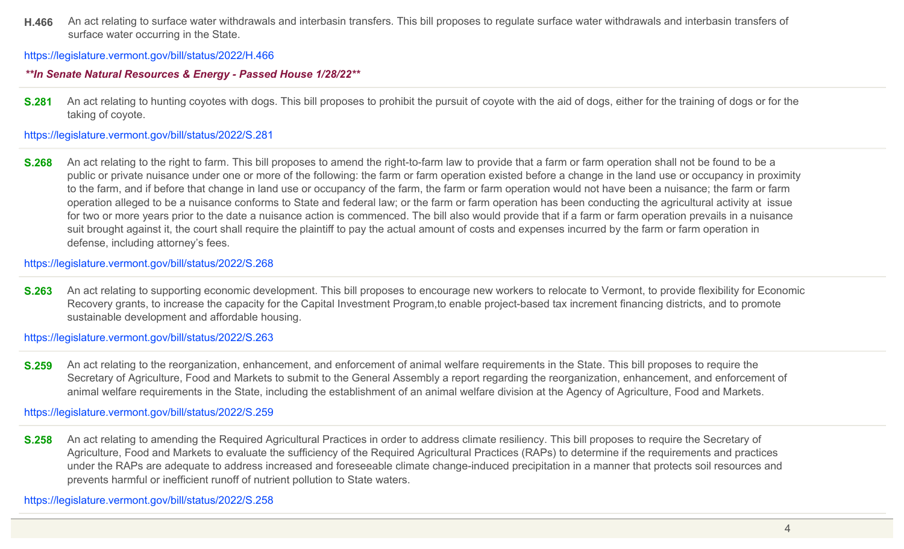**H.466** An act relating to surface water withdrawals and interbasin transfers. This bill proposes to regulate surface water withdrawals and interbasin transfers of surface water occurring in the State.

https://legislature.vermont.gov/bill/status/2022/H.466

## *\*\*In Senate Natural Resources & Energy - Passed House 1/28/22\*\**

**S.281** An act relating to hunting coyotes with dogs. This bill proposes to prohibit the pursuit of coyote with the aid of dogs, either for the training of dogs or for the taking of coyote.

https://legislature.vermont.gov/bill/status/2022/S.281

**S.268** An act relating to the right to farm. This bill proposes to amend the right-to-farm law to provide that a farm or farm operation shall not be found to be a public or private nuisance under one or more of the following: the farm or farm operation existed before a change in the land use or occupancy in proximity to the farm, and if before that change in land use or occupancy of the farm, the farm or farm operation would not have been a nuisance; the farm or farm operation alleged to be a nuisance conforms to State and federal law; or the farm or farm operation has been conducting the agricultural activity at issue for two or more years prior to the date a nuisance action is commenced. The bill also would provide that if a farm or farm operation prevails in a nuisance suit brought against it, the court shall require the plaintiff to pay the actual amount of costs and expenses incurred by the farm or farm operation in defense, including attorney's fees.

https://legislature.vermont.gov/bill/status/2022/S.268

**S.263** An act relating to supporting economic development. This bill proposes to encourage new workers to relocate to Vermont, to provide flexibility for Economic Recovery grants, to increase the capacity for the Capital Investment Program,to enable project-based tax increment financing districts, and to promote sustainable development and affordable housing.

https://legislature.vermont.gov/bill/status/2022/S.263

**S.259** An act relating to the reorganization, enhancement, and enforcement of animal welfare requirements in the State. This bill proposes to require the Secretary of Agriculture, Food and Markets to submit to the General Assembly a report regarding the reorganization, enhancement, and enforcement of animal welfare requirements in the State, including the establishment of an animal welfare division at the Agency of Agriculture, Food and Markets.

https://legislature.vermont.gov/bill/status/2022/S.259

**S.258** An act relating to amending the Required Agricultural Practices in order to address climate resiliency. This bill proposes to require the Secretary of Agriculture, Food and Markets to evaluate the sufficiency of the Required Agricultural Practices (RAPs) to determine if the requirements and practices under the RAPs are adequate to address increased and foreseeable climate change-induced precipitation in a manner that protects soil resources and prevents harmful or inefficient runoff of nutrient pollution to State waters.

https://legislature.vermont.gov/bill/status/2022/S.258